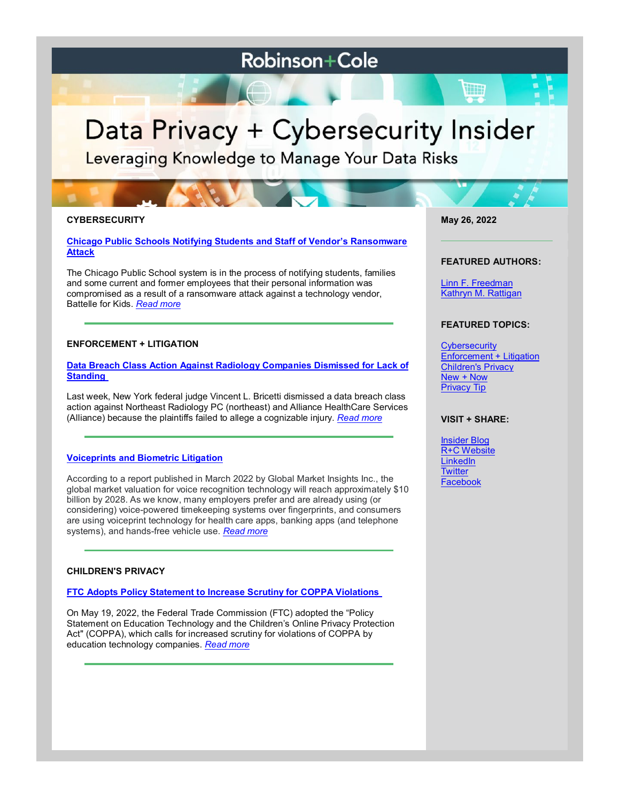# **Robinson+Cole**

# Data Privacy + Cybersecurity Insider

Leveraging Knowledge to Manage Your Data Risks

# **CYBERSECURITY**

# **[Chicago Public Schools Notifying Students and Staff of Vendor's Ransomware](https://www.dataprivacyandsecurityinsider.com/2022/05/chicago-public-schools-notifying-students-and-staff-of-vendors-ransomware-attack/)  [Attack](https://www.dataprivacyandsecurityinsider.com/2022/05/chicago-public-schools-notifying-students-and-staff-of-vendors-ransomware-attack/)**

The Chicago Public School system is in the process of notifying students, families and some current and former employees that their personal information was compromised as a result of a ransomware attack against a technology vendor, Battelle for Kids. *[Read more](https://www.dataprivacyandsecurityinsider.com/2022/05/chicago-public-schools-notifying-students-and-staff-of-vendors-ransomware-attack/)*

# **ENFORCEMENT + LITIGATION**

# **[Data Breach Class Action Against Radiology Companies Dismissed for Lack of](https://www.dataprivacyandsecurityinsider.com/2022/05/data-breach-class-action-against-radiology-companies-dismissed-for-lack-of-standing/)  [Standing](https://www.dataprivacyandsecurityinsider.com/2022/05/data-breach-class-action-against-radiology-companies-dismissed-for-lack-of-standing/)**

Last week, New York federal judge Vincent L. Bricetti dismissed a data breach class action against Northeast Radiology PC (northeast) and Alliance HealthCare Services (Alliance) because the plaintiffs failed to allege a cognizable injury. *[Read more](https://www.dataprivacyandsecurityinsider.com/2022/05/data-breach-class-action-against-radiology-companies-dismissed-for-lack-of-standing/)*

# **[Voiceprints and Biometric Litigation](https://www.dataprivacyandsecurityinsider.com/2022/05/voiceprints-and-biometric-litigation/)**

According to a report published in March 2022 by Global Market Insights Inc., the global market valuation for voice recognition technology will reach approximately \$10 billion by 2028. As we know, many employers prefer and are already using (or considering) voice-powered timekeeping systems over fingerprints, and consumers are using voiceprint technology for health care apps, banking apps (and telephone systems), and hands-free vehicle use. *[Read more](https://www.dataprivacyandsecurityinsider.com/2022/05/voiceprints-and-biometric-litigation/)*

# **CHILDREN'S PRIVACY**

# **[FTC Adopts Policy Statement to Increase Scrutiny for COPPA Violations](https://www.dataprivacyandsecurityinsider.com/2022/05/ftc-adopts-policy-statement-to-increase-scrutiny-for-coppa-violations/)**

On May 19, 2022, the Federal Trade Commission (FTC) adopted the "Policy Statement on Education Technology and the Children's Online Privacy Protection Act" (COPPA), which calls for increased scrutiny for violations of COPPA by education technology companies. *[Read more](https://www.dataprivacyandsecurityinsider.com/2022/05/ftc-adopts-policy-statement-to-increase-scrutiny-for-coppa-violations/)*

**May 26, 2022**

#### **FEATURED AUTHORS:**

[Linn F. Freedman](https://www.rc.com/people/LinnFFreedman.cfm) [Kathryn M. Rattigan](https://www.rc.com/people/kathrynmrattigan.cfm)

# **FEATURED TOPICS:**

**[Cybersecurity](https://www.dataprivacyandsecurityinsider.com/category/cybersecurity/)** [Enforcement + Litigation](https://www.dataprivacyandsecurityinsider.com/category/enforcement-litigation/) [Children's Privacy](https://www.dataprivacyandsecurityinsider.com/category/childrens-privacy/) [New + Now](https://www.dataprivacyandsecurityinsider.com/category/new-now/) [Privacy Tip](https://www.dataprivacyandsecurityinsider.com/category/privacy-tips/)

#### **VISIT + SHARE:**

[Insider Blog](https://www.dataprivacyandsecurityinsider.com/) [R+C Website](http://www.rc.com/) [LinkedIn](https://www.linkedin.com/company/robinson-&-cole-llp) **[Twitter](https://twitter.com/RobinsonCole)** [Facebook](https://www.facebook.com/RobinsonCole-144331422248207/)